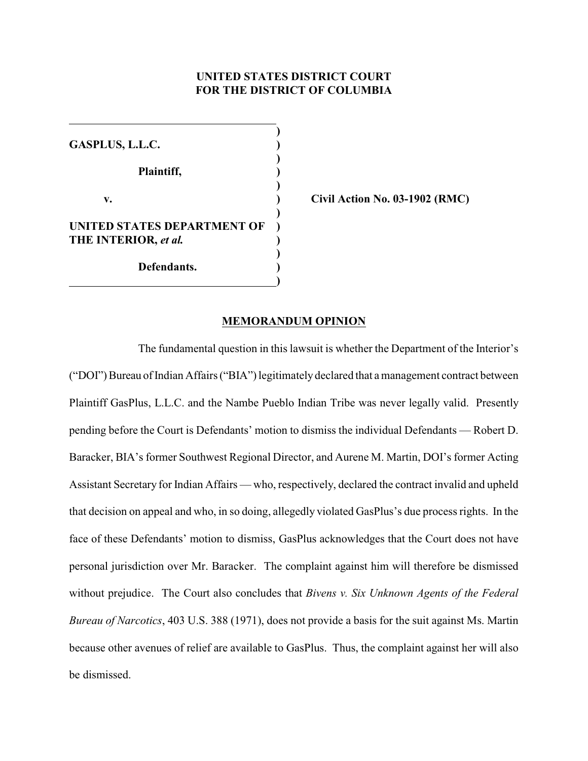# **UNITED STATES DISTRICT COURT FOR THE DISTRICT OF COLUMBIA**

**) GASPLUS, L.L.C. ) ) Plaintiff, ) ) v. ) Civil Action No. 03-1902 (RMC) ) UNITED STATES DEPARTMENT OF THE INTERIOR,** *et al.* **) ) ) Defendants. ) )**

### **MEMORANDUM OPINION**

The fundamental question in this lawsuit is whether the Department of the Interior's ("DOI") Bureau of Indian Affairs ("BIA") legitimately declared that a management contract between Plaintiff GasPlus, L.L.C. and the Nambe Pueblo Indian Tribe was never legally valid. Presently pending before the Court is Defendants' motion to dismiss the individual Defendants — Robert D. Baracker, BIA's former Southwest Regional Director, and Aurene M. Martin, DOI's former Acting Assistant Secretary for Indian Affairs — who, respectively, declared the contract invalid and upheld that decision on appeal and who, in so doing, allegedly violated GasPlus's due process rights. In the face of these Defendants' motion to dismiss, GasPlus acknowledges that the Court does not have personal jurisdiction over Mr. Baracker. The complaint against him will therefore be dismissed without prejudice. The Court also concludes that *Bivens v. Six Unknown Agents of the Federal Bureau of Narcotics*, 403 U.S. 388 (1971), does not provide a basis for the suit against Ms. Martin because other avenues of relief are available to GasPlus. Thus, the complaint against her will also be dismissed.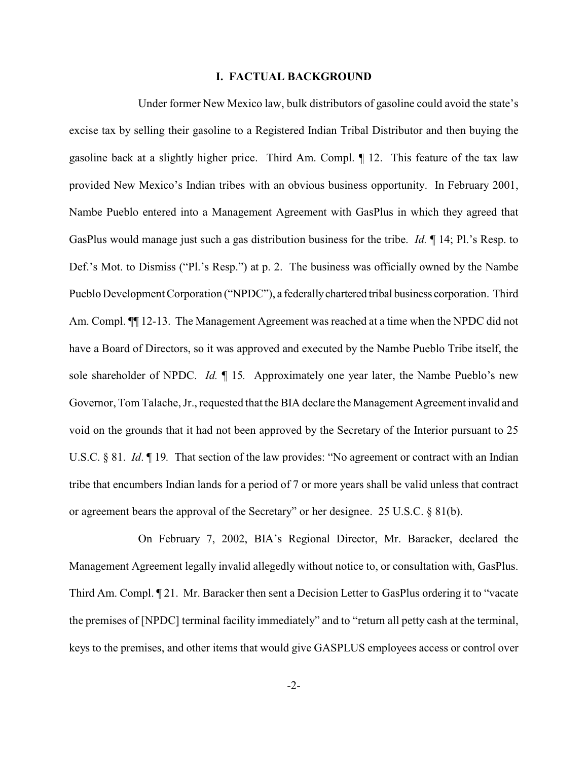### **I. FACTUAL BACKGROUND**

Under former New Mexico law, bulk distributors of gasoline could avoid the state's excise tax by selling their gasoline to a Registered Indian Tribal Distributor and then buying the gasoline back at a slightly higher price. Third Am. Compl. ¶ 12. This feature of the tax law provided New Mexico's Indian tribes with an obvious business opportunity. In February 2001, Nambe Pueblo entered into a Management Agreement with GasPlus in which they agreed that GasPlus would manage just such a gas distribution business for the tribe. *Id.* ¶ 14; Pl.'s Resp. to Def.'s Mot. to Dismiss ("Pl.'s Resp.") at p. 2. The business was officially owned by the Nambe Pueblo Development Corporation ("NPDC"), a federally chartered tribal business corporation. Third Am. Compl.  $\P$  12-13. The Management Agreement was reached at a time when the NPDC did not have a Board of Directors, so it was approved and executed by the Nambe Pueblo Tribe itself, the sole shareholder of NPDC. *Id.* ¶ 15*.* Approximately one year later, the Nambe Pueblo's new Governor, Tom Talache, Jr., requested that the BIA declare the Management Agreement invalid and void on the grounds that it had not been approved by the Secretary of the Interior pursuant to 25 U.S.C. § 81. *Id.* ¶ 19. That section of the law provides: "No agreement or contract with an Indian tribe that encumbers Indian lands for a period of 7 or more years shall be valid unless that contract or agreement bears the approval of the Secretary" or her designee. 25 U.S.C. § 81(b).

On February 7, 2002, BIA's Regional Director, Mr. Baracker, declared the Management Agreement legally invalid allegedly without notice to, or consultation with, GasPlus. Third Am. Compl. ¶ 21. Mr. Baracker then sent a Decision Letter to GasPlus ordering it to "vacate the premises of [NPDC] terminal facility immediately" and to "return all petty cash at the terminal, keys to the premises, and other items that would give GASPLUS employees access or control over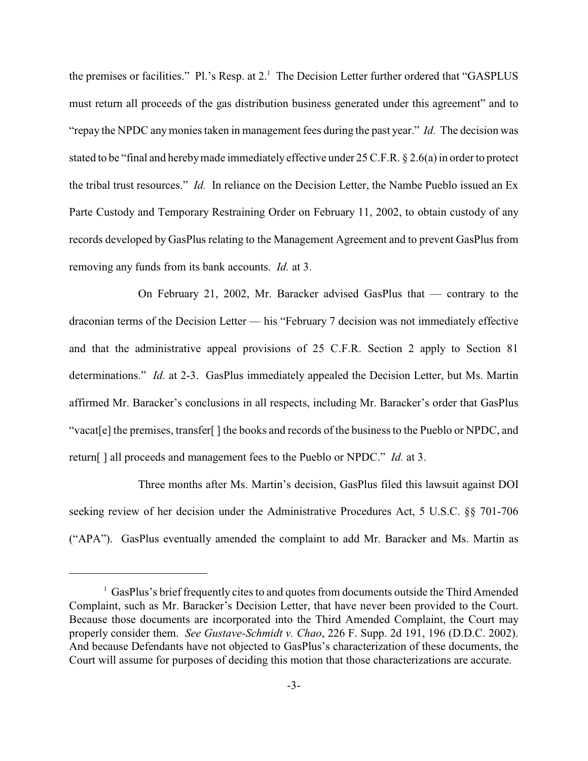the premises or facilities." Pl.'s Resp. at  $2<sup>1</sup>$ . The Decision Letter further ordered that "GASPLUS must return all proceeds of the gas distribution business generated under this agreement" and to "repay the NPDC any monies taken in management fees during the past year." *Id.* The decision was stated to be "final and hereby made immediately effective under 25 C.F.R. § 2.6(a) in order to protect the tribal trust resources." *Id.* In reliance on the Decision Letter, the Nambe Pueblo issued an Ex Parte Custody and Temporary Restraining Order on February 11, 2002, to obtain custody of any records developed by GasPlus relating to the Management Agreement and to prevent GasPlus from removing any funds from its bank accounts. *Id.* at 3.

On February 21, 2002, Mr. Baracker advised GasPlus that — contrary to the draconian terms of the Decision Letter — his "February 7 decision was not immediately effective and that the administrative appeal provisions of 25 C.F.R. Section 2 apply to Section 81 determinations." *Id.* at 2-3. GasPlus immediately appealed the Decision Letter, but Ms. Martin affirmed Mr. Baracker's conclusions in all respects, including Mr. Baracker's order that GasPlus "vacat[e] the premises, transfer[ ] the books and records of the business to the Pueblo or NPDC, and return[ ] all proceeds and management fees to the Pueblo or NPDC." *Id.* at 3.

Three months after Ms. Martin's decision, GasPlus filed this lawsuit against DOI seeking review of her decision under the Administrative Procedures Act, 5 U.S.C. §§ 701-706 ("APA"). GasPlus eventually amended the complaint to add Mr. Baracker and Ms. Martin as

 $\frac{1}{1}$  GasPlus's brief frequently cites to and quotes from documents outside the Third Amended Complaint, such as Mr. Baracker's Decision Letter, that have never been provided to the Court. Because those documents are incorporated into the Third Amended Complaint, the Court may properly consider them. *See Gustave-Schmidt v. Chao*, 226 F. Supp. 2d 191, 196 (D.D.C. 2002). And because Defendants have not objected to GasPlus's characterization of these documents, the Court will assume for purposes of deciding this motion that those characterizations are accurate.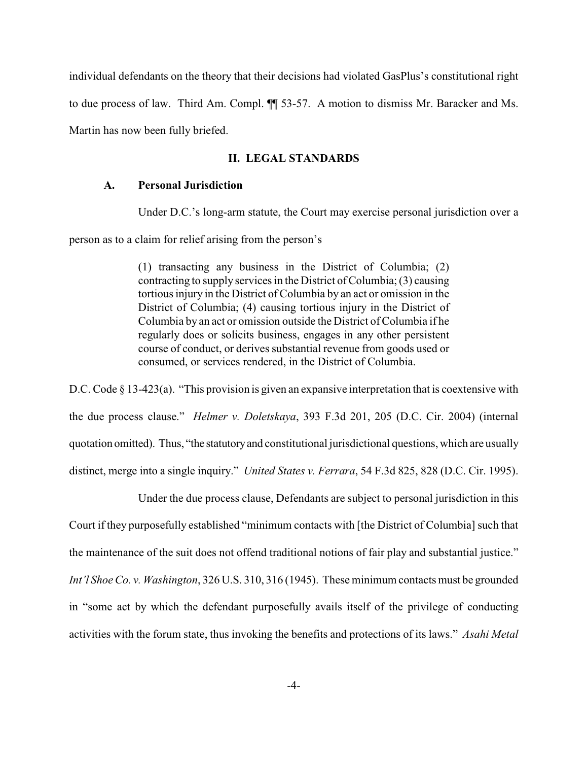individual defendants on the theory that their decisions had violated GasPlus's constitutional right to due process of law. Third Am. Compl. ¶¶ 53-57. A motion to dismiss Mr. Baracker and Ms. Martin has now been fully briefed.

# **II. LEGAL STANDARDS**

## **A. Personal Jurisdiction**

Under D.C.'s long-arm statute, the Court may exercise personal jurisdiction over a

person as to a claim for relief arising from the person's

(1) transacting any business in the District of Columbia; (2) contracting to supply services in the District of Columbia; (3) causing tortious injury in the District of Columbia by an act or omission in the District of Columbia; (4) causing tortious injury in the District of Columbia by an act or omission outside the District of Columbia if he regularly does or solicits business, engages in any other persistent course of conduct, or derives substantial revenue from goods used or consumed, or services rendered, in the District of Columbia.

D.C. Code § 13-423(a). "This provision is given an expansive interpretation that is coextensive with the due process clause." *Helmer v. Doletskaya*, 393 F.3d 201, 205 (D.C. Cir. 2004) (internal quotation omitted). Thus, "the statutory and constitutional jurisdictional questions, which are usually distinct, merge into a single inquiry." *United States v. Ferrara*, 54 F.3d 825, 828 (D.C. Cir. 1995).

Under the due process clause, Defendants are subject to personal jurisdiction in this Court if they purposefully established "minimum contacts with [the District of Columbia] such that the maintenance of the suit does not offend traditional notions of fair play and substantial justice." *Int'l Shoe Co. v. Washington*, 326 U.S. 310, 316 (1945). These minimum contacts must be grounded in "some act by which the defendant purposefully avails itself of the privilege of conducting activities with the forum state, thus invoking the benefits and protections of its laws." *Asahi Metal*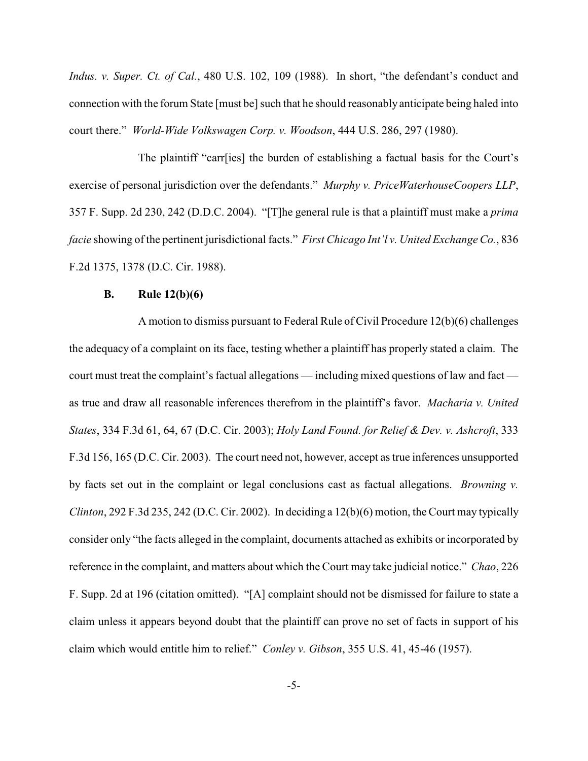*Indus. v. Super. Ct. of Cal.*, 480 U.S. 102, 109 (1988). In short, "the defendant's conduct and connection with the forum State [must be] such that he should reasonably anticipate being haled into court there." *World-Wide Volkswagen Corp. v. Woodson*, 444 U.S. 286, 297 (1980).

The plaintiff "carr[ies] the burden of establishing a factual basis for the Court's exercise of personal jurisdiction over the defendants." *Murphy v. PriceWaterhouseCoopers LLP*, 357 F. Supp. 2d 230, 242 (D.D.C. 2004). "[T]he general rule is that a plaintiff must make a *prima facie* showing of the pertinent jurisdictional facts." *First Chicago Int'l v. United Exchange Co.*, 836 F.2d 1375, 1378 (D.C. Cir. 1988).

### **B. Rule 12(b)(6)**

A motion to dismiss pursuant to Federal Rule of Civil Procedure 12(b)(6) challenges the adequacy of a complaint on its face, testing whether a plaintiff has properly stated a claim. The court must treat the complaint's factual allegations — including mixed questions of law and fact as true and draw all reasonable inferences therefrom in the plaintiff's favor. *Macharia v. United States*, 334 F.3d 61, 64, 67 (D.C. Cir. 2003); *Holy Land Found. for Relief & Dev. v. Ashcroft*, 333 F.3d 156, 165 (D.C. Cir. 2003). The court need not, however, accept as true inferences unsupported by facts set out in the complaint or legal conclusions cast as factual allegations. *Browning v. Clinton*, 292 F.3d 235, 242 (D.C. Cir. 2002).In deciding a 12(b)(6) motion, the Court may typically consider only "the facts alleged in the complaint, documents attached as exhibits or incorporated by reference in the complaint, and matters about which the Court may take judicial notice." *Chao*, 226 F. Supp. 2d at 196 (citation omitted)."[A] complaint should not be dismissed for failure to state a claim unless it appears beyond doubt that the plaintiff can prove no set of facts in support of his claim which would entitle him to relief." *Conley v. Gibson*, 355 U.S. 41, 45-46 (1957).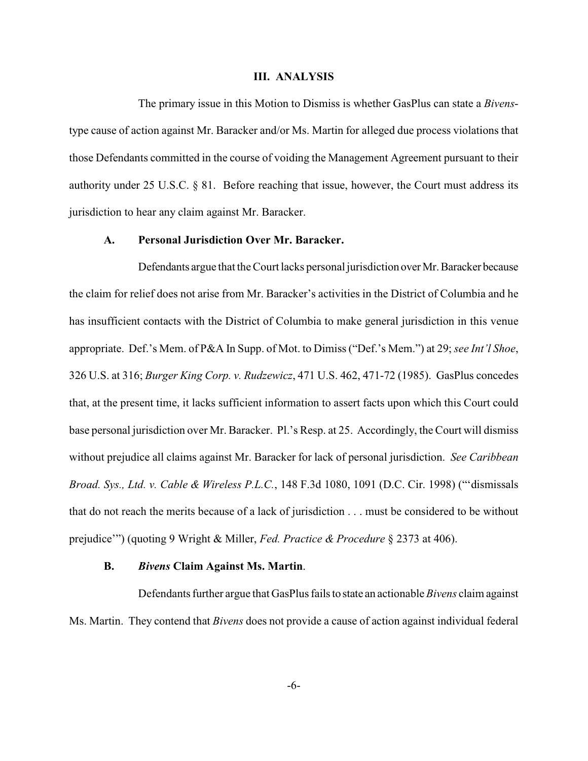#### **III. ANALYSIS**

The primary issue in this Motion to Dismiss is whether GasPlus can state a *Bivens*type cause of action against Mr. Baracker and/or Ms. Martin for alleged due process violations that those Defendants committed in the course of voiding the Management Agreement pursuant to their authority under 25 U.S.C. § 81. Before reaching that issue, however, the Court must address its jurisdiction to hear any claim against Mr. Baracker.

# **A. Personal Jurisdiction Over Mr. Baracker.**

Defendants argue that the Court lacks personal jurisdiction over Mr. Baracker because the claim for relief does not arise from Mr. Baracker's activities in the District of Columbia and he has insufficient contacts with the District of Columbia to make general jurisdiction in this venue appropriate. Def.'s Mem. of P&A In Supp. of Mot. to Dimiss ("Def.'s Mem.") at 29; *see Int'l Shoe*, 326 U.S. at 316; *Burger King Corp. v. Rudzewicz*, 471 U.S. 462, 471-72 (1985). GasPlus concedes that, at the present time, it lacks sufficient information to assert facts upon which this Court could base personal jurisdiction over Mr. Baracker. Pl.'s Resp. at 25. Accordingly, the Court will dismiss without prejudice all claims against Mr. Baracker for lack of personal jurisdiction. *See Caribbean Broad. Sys., Ltd. v. Cable & Wireless P.L.C.*, 148 F.3d 1080, 1091 (D.C. Cir. 1998) ("'dismissals that do not reach the merits because of a lack of jurisdiction . . . must be considered to be without prejudice'") (quoting 9 Wright & Miller, *Fed. Practice & Procedure* § 2373 at 406).

#### **B.** *Bivens* **Claim Against Ms. Martin**.

Defendants further argue that GasPlus fails to state an actionable *Bivens* claim against Ms. Martin. They contend that *Bivens* does not provide a cause of action against individual federal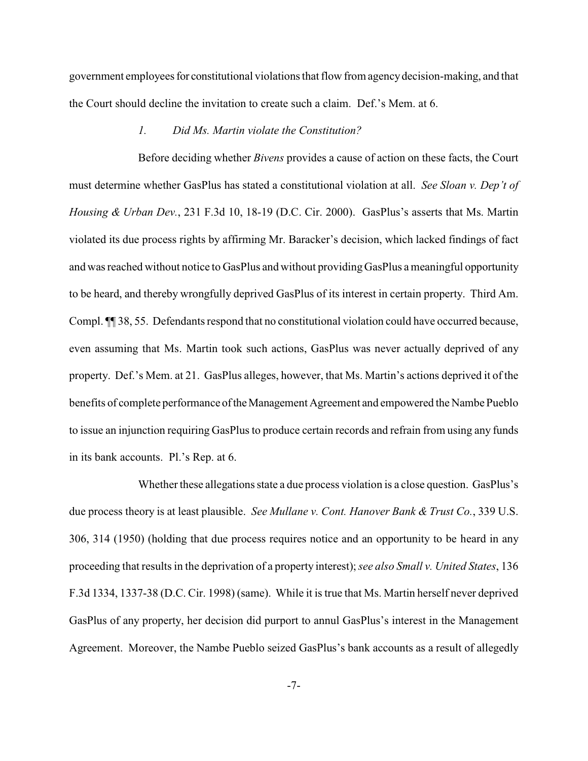government employees for constitutional violations that flow from agency decision-making, and that the Court should decline the invitation to create such a claim. Def.'s Mem. at 6.

## *1. Did Ms. Martin violate the Constitution?*

Before deciding whether *Bivens* provides a cause of action on these facts, the Court must determine whether GasPlus has stated a constitutional violation at all. *See Sloan v. Dep't of Housing & Urban Dev.*, 231 F.3d 10, 18-19 (D.C. Cir. 2000). GasPlus's asserts that Ms. Martin violated its due process rights by affirming Mr. Baracker's decision, which lacked findings of fact and was reached without notice to GasPlus and without providing GasPlus a meaningful opportunity to be heard, and thereby wrongfully deprived GasPlus of its interest in certain property. Third Am. Compl. ¶¶ 38, 55. Defendants respond that no constitutional violation could have occurred because, even assuming that Ms. Martin took such actions, GasPlus was never actually deprived of any property. Def.'s Mem. at 21. GasPlus alleges, however, that Ms. Martin's actions deprived it of the benefits of complete performance of the Management Agreement and empowered the Nambe Pueblo to issue an injunction requiring GasPlus to produce certain records and refrain from using any funds in its bank accounts. Pl.'s Rep. at 6.

Whether these allegations state a due process violation is a close question. GasPlus's due process theory is at least plausible. *See Mullane v. Cont. Hanover Bank & Trust Co.*, 339 U.S. 306, 314 (1950) (holding that due process requires notice and an opportunity to be heard in any proceeding that resultsin the deprivation of a property interest); *see also Small v. United States*, 136 F.3d 1334, 1337-38 (D.C. Cir. 1998) (same). While it is true that Ms. Martin herself never deprived GasPlus of any property, her decision did purport to annul GasPlus's interest in the Management Agreement. Moreover, the Nambe Pueblo seized GasPlus's bank accounts as a result of allegedly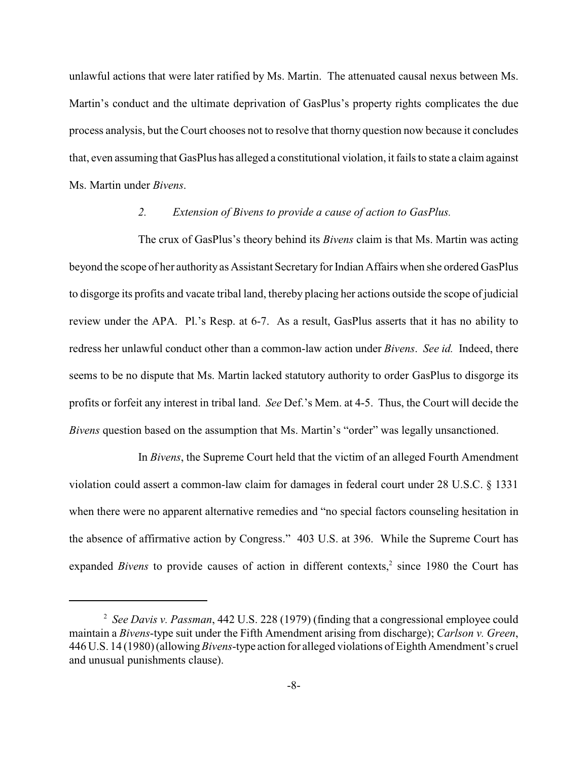unlawful actions that were later ratified by Ms. Martin. The attenuated causal nexus between Ms. Martin's conduct and the ultimate deprivation of GasPlus's property rights complicates the due process analysis, but the Court chooses not to resolve that thorny question now because it concludes that, even assuming that GasPlus has alleged a constitutional violation, it fails to state a claim against Ms. Martin under *Bivens*.

## *2. Extension of Bivens to provide a cause of action to GasPlus.*

The crux of GasPlus's theory behind its *Bivens* claim is that Ms. Martin was acting beyond the scope of her authority as Assistant Secretaryfor Indian Affairs when she ordered GasPlus to disgorge its profits and vacate tribal land, thereby placing her actions outside the scope of judicial review under the APA. Pl.'s Resp. at 6-7. As a result, GasPlus asserts that it has no ability to redress her unlawful conduct other than a common-law action under *Bivens*. *See id.* Indeed, there seems to be no dispute that Ms. Martin lacked statutory authority to order GasPlus to disgorge its profits or forfeit any interest in tribal land. *See* Def.'s Mem. at 4-5. Thus, the Court will decide the *Bivens* question based on the assumption that Ms. Martin's "order" was legally unsanctioned.

In *Bivens*, the Supreme Court held that the victim of an alleged Fourth Amendment violation could assert a common-law claim for damages in federal court under 28 U.S.C. § 1331 when there were no apparent alternative remedies and "no special factors counseling hesitation in the absence of affirmative action by Congress." 403 U.S. at 396. While the Supreme Court has expanded *Bivens* to provide causes of action in different contexts,<sup>2</sup> since 1980 the Court has

<sup>&</sup>lt;sup>2</sup> See Davis v. Passman, 442 U.S. 228 (1979) (finding that a congressional employee could maintain a *Bivens*-type suit under the Fifth Amendment arising from discharge); *Carlson v. Green*, 446 U.S. 14 (1980) (allowing *Bivens*-type action for alleged violations of Eighth Amendment's cruel and unusual punishments clause).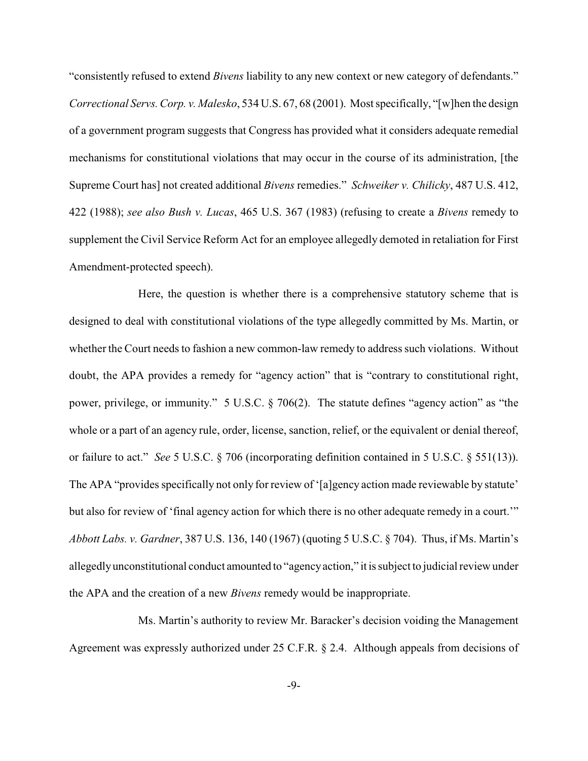"consistently refused to extend *Bivens* liability to any new context or new category of defendants." *Correctional Servs. Corp. v. Malesko*, 534 U.S. 67, 68 (2001). Most specifically, "[w]hen the design of a government program suggests that Congress has provided what it considers adequate remedial mechanisms for constitutional violations that may occur in the course of its administration, [the Supreme Court has] not created additional *Bivens* remedies." *Schweiker v. Chilicky*, 487 U.S. 412, 422 (1988); *see also Bush v. Lucas*, 465 U.S. 367 (1983) (refusing to create a *Bivens* remedy to supplement the Civil Service Reform Act for an employee allegedly demoted in retaliation for First Amendment-protected speech).

Here, the question is whether there is a comprehensive statutory scheme that is designed to deal with constitutional violations of the type allegedly committed by Ms. Martin, or whether the Court needs to fashion a new common-law remedy to address such violations. Without doubt, the APA provides a remedy for "agency action" that is "contrary to constitutional right, power, privilege, or immunity." 5 U.S.C. § 706(2). The statute defines "agency action" as "the whole or a part of an agency rule, order, license, sanction, relief, or the equivalent or denial thereof, or failure to act." *See* 5 U.S.C. § 706 (incorporating definition contained in 5 U.S.C. § 551(13)). The APA "provides specifically not only for review of '[a]gency action made reviewable by statute' but also for review of 'final agency action for which there is no other adequate remedy in a court.'" *Abbott Labs. v. Gardner*, 387 U.S. 136, 140 (1967) (quoting 5 U.S.C. § 704). Thus, if Ms. Martin's allegedly unconstitutional conduct amounted to "agency action," it is subject to judicial review under the APA and the creation of a new *Bivens* remedy would be inappropriate.

Ms. Martin's authority to review Mr. Baracker's decision voiding the Management Agreement was expressly authorized under 25 C.F.R. § 2.4. Although appeals from decisions of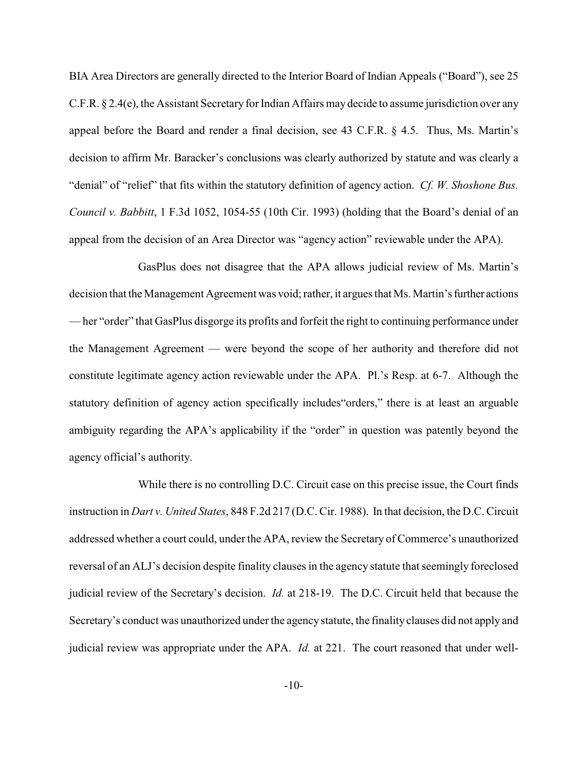BIA Area Directors are generally directed to the Interior Board of Indian Appeals ("Board"), see 25 C.F.R. § 2.4(e), the Assistant Secretary for Indian Affairs may decide to assume jurisdiction over any appeal before the Board and render a final decision, see 43 C.F.R. § 4.5. Thus, Ms. Martin's decision to affirm Mr. Baracker's conclusions was clearly authorized by statute and was clearly a "denial" of "relief" that fits within the statutory definition of agency action. *Cf. W. Shoshone Bus. Council v. Babbitt*, 1 F.3d 1052, 1054-55 (10th Cir. 1993) (holding that the Board's denial of an appeal from the decision of an Area Director was "agency action" reviewable under the APA).

GasPlus does not disagree that the APA allows judicial review of Ms. Martin's decision that the Management Agreement was void; rather, it argues that Ms. Martin's further actions — her "order" that GasPlus disgorge its profits and forfeit the right to continuing performance under the Management Agreement — were beyond the scope of her authority and therefore did not constitute legitimate agency action reviewable under the APA. Pl.'s Resp. at 6-7. Although the statutory definition of agency action specifically includes"orders," there is at least an arguable ambiguity regarding the APA's applicability if the "order" in question was patently beyond the agency official's authority.

While there is no controlling D.C. Circuit case on this precise issue, the Court finds instruction in *Dart v. United States*, 848 F.2d 217 (D.C. Cir. 1988). In that decision, the D.C. Circuit addressed whether a court could, under the APA, review the Secretary of Commerce's unauthorized reversal of an ALJ's decision despite finality clauses in the agency statute that seemingly foreclosed judicial review of the Secretary's decision. *Id.* at 218-19. The D.C. Circuit held that because the Secretary's conduct was unauthorized under the agency statute, the finality clauses did not apply and judicial review was appropriate under the APA. *Id.* at 221. The court reasoned that under well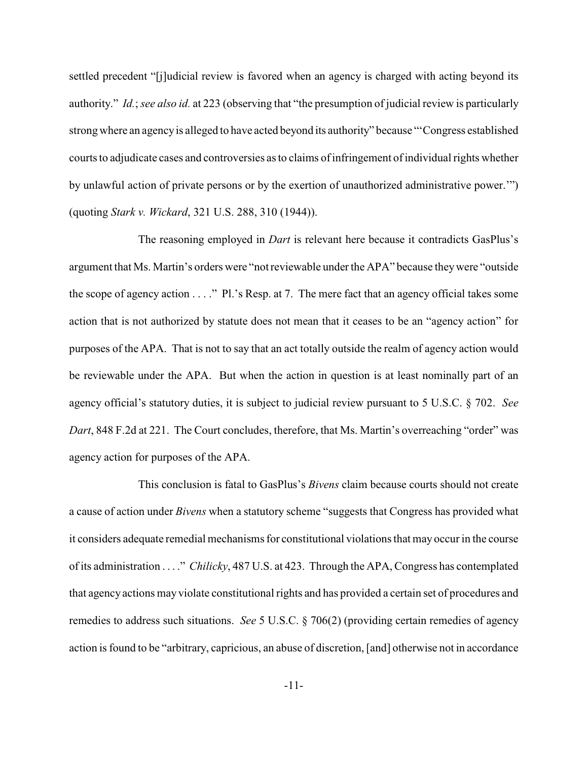settled precedent "[j]udicial review is favored when an agency is charged with acting beyond its authority." *Id.*; *see also id.* at 223 (observing that "the presumption of judicial review is particularly strong where an agency is alleged to have acted beyond its authority" because "'Congress established courts to adjudicate cases and controversies as to claims of infringement of individual rights whether by unlawful action of private persons or by the exertion of unauthorized administrative power.'") (quoting *Stark v. Wickard*, 321 U.S. 288, 310 (1944)).

The reasoning employed in *Dart* is relevant here because it contradicts GasPlus's argument that Ms. Martin's orders were "not reviewable under the APA" because they were "outside the scope of agency action . . . ." Pl.'s Resp. at 7. The mere fact that an agency official takes some action that is not authorized by statute does not mean that it ceases to be an "agency action" for purposes of the APA. That is not to say that an act totally outside the realm of agency action would be reviewable under the APA. But when the action in question is at least nominally part of an agency official's statutory duties, it is subject to judicial review pursuant to 5 U.S.C. § 702. *See Dart*, 848 F.2d at 221. The Court concludes, therefore, that Ms. Martin's overreaching "order" was agency action for purposes of the APA.

This conclusion is fatal to GasPlus's *Bivens* claim because courts should not create a cause of action under *Bivens* when a statutory scheme "suggests that Congress has provided what it considers adequate remedial mechanisms for constitutional violationsthat may occur in the course of its administration . . . ." *Chilicky*, 487 U.S. at 423. Through the APA, Congress has contemplated that agency actions may violate constitutional rights and has provided a certain set of procedures and remedies to address such situations. *See* 5 U.S.C. § 706(2) (providing certain remedies of agency action is found to be "arbitrary, capricious, an abuse of discretion, [and] otherwise not in accordance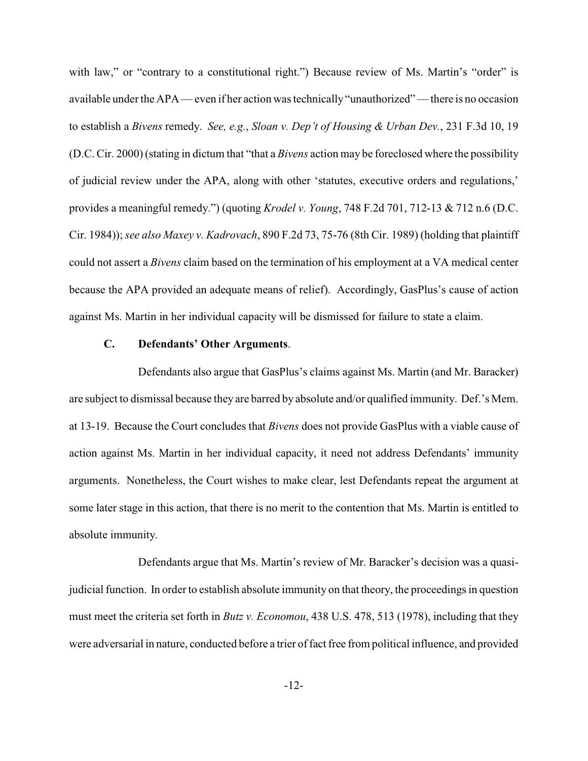with law," or "contrary to a constitutional right.") Because review of Ms. Martin's "order" is available under the APA — even if her action was technically "unauthorized" — there is no occasion to establish a *Bivens* remedy. *See, e.g.*, *Sloan v. Dep't of Housing & Urban Dev.*, 231 F.3d 10, 19 (D.C. Cir. 2000)(stating in dictum that "that a *Bivens* action may be foreclosed where the possibility of judicial review under the APA, along with other 'statutes, executive orders and regulations,' provides a meaningful remedy.") (quoting *Krodel v. Young*, 748 F.2d 701, 712-13 & 712 n.6 (D.C. Cir. 1984));*see also Maxey v. Kadrovach*, 890 F.2d 73, 75-76 (8th Cir. 1989) (holding that plaintiff could not assert a *Bivens* claim based on the termination of his employment at a VA medical center because the APA provided an adequate means of relief). Accordingly, GasPlus's cause of action against Ms. Martin in her individual capacity will be dismissed for failure to state a claim.

## **C. Defendants' Other Arguments**.

Defendants also argue that GasPlus's claims against Ms. Martin (and Mr. Baracker) are subject to dismissal because they are barred by absolute and/or qualified immunity. Def.'s Mem. at 13-19. Because the Court concludes that *Bivens* does not provide GasPlus with a viable cause of action against Ms. Martin in her individual capacity, it need not address Defendants' immunity arguments. Nonetheless, the Court wishes to make clear, lest Defendants repeat the argument at some later stage in this action, that there is no merit to the contention that Ms. Martin is entitled to absolute immunity.

Defendants argue that Ms. Martin's review of Mr. Baracker's decision was a quasijudicial function. In order to establish absolute immunity on that theory, the proceedings in question must meet the criteria set forth in *Butz v. Economou*, 438 U.S. 478, 513 (1978), including that they were adversarial in nature, conducted before a trier of fact free from political influence, and provided